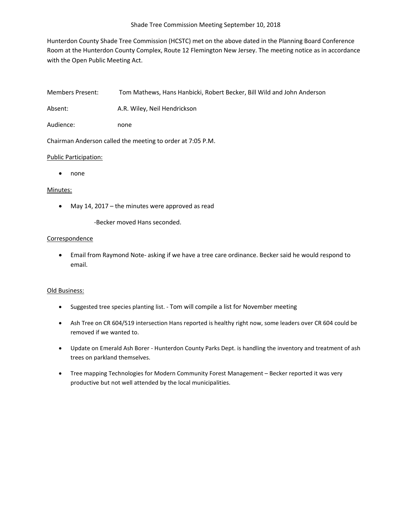Hunterdon County Shade Tree Commission (HCSTC) met on the above dated in the Planning Board Conference Room at the Hunterdon County Complex, Route 12 Flemington New Jersey. The meeting notice as in accordance with the Open Public Meeting Act.

Members Present: Tom Mathews, Hans Hanbicki, Robert Becker, Bill Wild and John Anderson

Absent: A.R. Wiley, Neil Hendrickson

Audience: none

Chairman Anderson called the meeting to order at 7:05 P.M.

# Public Participation:

• none

# Minutes:

- May 14, 2017 the minutes were approved as read
	- -Becker moved Hans seconded.

# **Correspondence**

• Email from Raymond Note- asking if we have a tree care ordinance. Becker said he would respond to email.

# Old Business:

- Suggested tree species planting list. Tom will compile a list for November meeting
- Ash Tree on CR 604/519 intersection Hans reported is healthy right now, some leaders over CR 604 could be removed if we wanted to.
- Update on Emerald Ash Borer Hunterdon County Parks Dept. is handling the inventory and treatment of ash trees on parkland themselves.
- Tree mapping Technologies for Modern Community Forest Management Becker reported it was very productive but not well attended by the local municipalities.